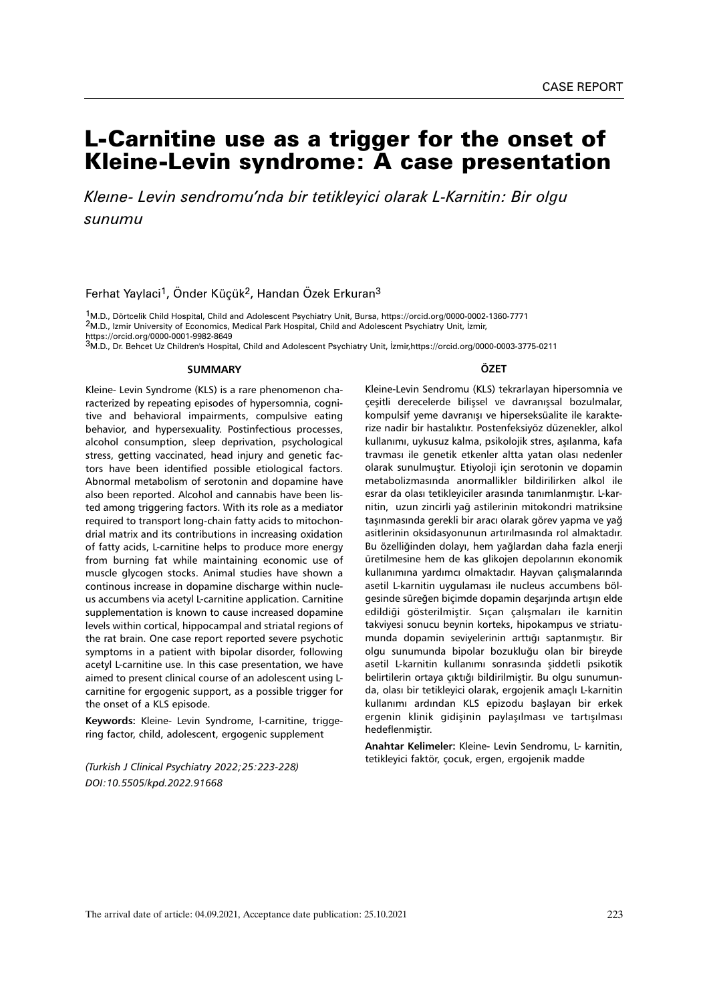# L-Carnitine use as a trigger for the onset of Kleine-Levin syndrome: A case presentation

*Kleıne- Levin sendromu'nda bir tetikleyici olarak L-Karnitin: Bir olgu sunumu*

Ferhat Yaylaci<sup>1</sup>, Önder Küçük<sup>2</sup>, Handan Özek Erkuran<sup>3</sup>

1M.D., Dörtcelik Child Hospital, Child and Adolescent Psychiatry Unit, Bursa, https://orcid.org/0000-0002-1360-7771 2M.D., Izmir University of Economics, Medical Park Hospital, Child and Adolescent Psychiatry Unit, İzmir,

https://orcid.org/0000-0001-9982-8649<br><sup>3</sup>M.D., Dr. Behcet Uz Children's Hospital, Child and Adolescent Psychiatry Unit, İzmir,https://orcid.org/0000-0003-3775-0211

#### **SUMMARY**

Kleine- Levin Syndrome (KLS) is a rare phenomenon characterized by repeating episodes of hypersomnia, cognitive and behavioral impairments, compulsive eating behavior, and hypersexuality. Postinfectious processes, alcohol consumption, sleep deprivation, psychological stress, getting vaccinated, head injury and genetic factors have been identified possible etiological factors. Abnormal metabolism of serotonin and dopamine have also been reported. Alcohol and cannabis have been listed among triggering factors. With its role as a mediator required to transport long-chain fatty acids to mitochondrial matrix and its contributions in increasing oxidation of fatty acids, L-carnitine helps to produce more energy from burning fat while maintaining economic use of muscle glycogen stocks. Animal studies have shown a continous increase in dopamine discharge within nucleus accumbens via acetyl L-carnitine application. Carnitine supplementation is known to cause increased dopamine levels within cortical, hippocampal and striatal regions of the rat brain. One case report reported severe psychotic symptoms in a patient with bipolar disorder, following acetyl L-carnitine use. In this case presentation, we have aimed to present clinical course of an adolescent using Lcarnitine for ergogenic support, as a possible trigger for the onset of a KLS episode.

**Keywords:** Kleine- Levin Syndrome, l-carnitine, triggering factor, child, adolescent, ergogenic supplement

*(Turkish J Clinical Psychiatry 2022;25:223-228) DOI:10.5505/kpd.2022.91668*

#### **ÖZET**

Kleine-Levin Sendromu (KLS) tekrarlayan hipersomnia ve çeşitli derecelerde bilişsel ve davranışsal bozulmalar, kompulsif yeme davranışı ve hiperseksüalite ile karakterize nadir bir hastalıktır. Postenfeksiyöz düzenekler, alkol kullanımı, uykusuz kalma, psikolojik stres, aşılanma, kafa travması ile genetik etkenler altta yatan olası nedenler olarak sunulmuştur. Etiyoloji için serotonin ve dopamin metabolizmasında anormallikler bildirilirken alkol ile esrar da olası tetikleyiciler arasında tanımlanmıştır. L-karnitin, uzun zincirli yağ astilerinin mitokondri matriksine taşınmasında gerekli bir aracı olarak görev yapma ve yağ asitlerinin oksidasyonunun artırılmasında rol almaktadır. Bu özelliğinden dolayı, hem yağlardan daha fazla enerji üretilmesine hem de kas glikojen depolarının ekonomik kullanımına yardımcı olmaktadır. Hayvan çalışmalarında asetil L-karnitin uygulaması ile nucleus accumbens bölgesinde süreğen biçimde dopamin deşarjında artışın elde edildiği gösterilmiştir. Sıçan çalışmaları ile karnitin takviyesi sonucu beynin korteks, hipokampus ve striatumunda dopamin seviyelerinin arttığı saptanmıştır. Bir olgu sunumunda bipolar bozukluğu olan bir bireyde asetil L-karnitin kullanımı sonrasında şiddetli psikotik belirtilerin ortaya çıktığı bildirilmiştir. Bu olgu sunumunda, olası bir tetikleyici olarak, ergojenik amaçlı L-karnitin kullanımı ardından KLS epizodu başlayan bir erkek ergenin klinik gidişinin paylaşılması ve tartışılması hedeflenmiştir.

**Anahtar Kelimeler:** Kleine- Levin Sendromu, L- karnitin, tetikleyici faktör, çocuk, ergen, ergojenik madde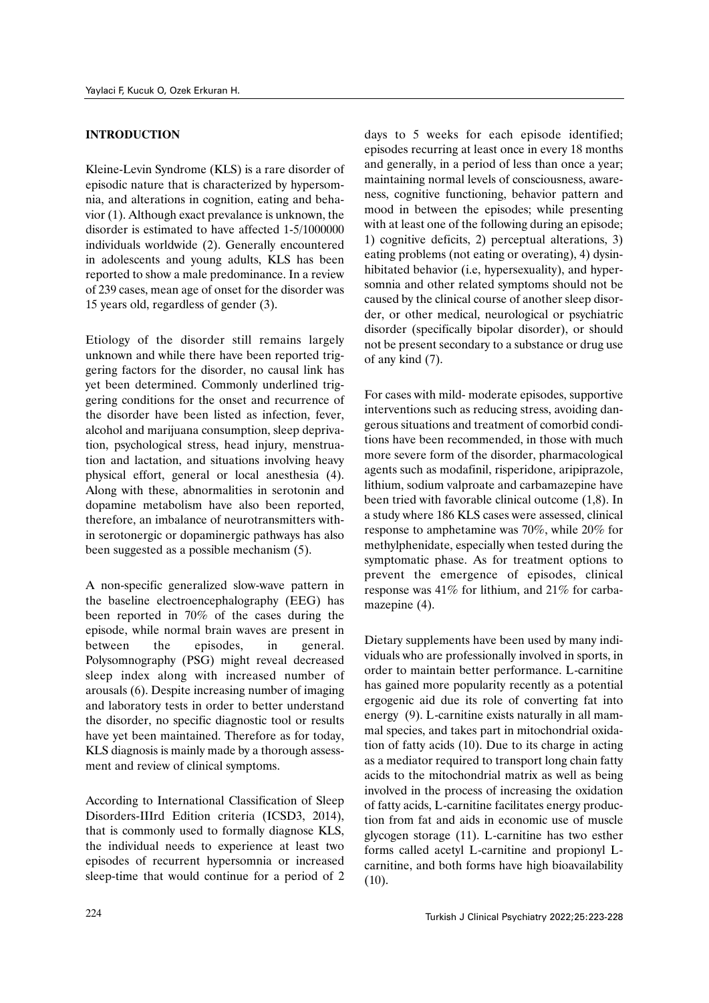### **INTRODUCTION**

Kleine-Levin Syndrome (KLS) is a rare disorder of episodic nature that is characterized by hypersomnia, and alterations in cognition, eating and behavior (1). Although exact prevalance is unknown, the disorder is estimated to have affected 1-5/1000000 individuals worldwide (2). Generally encountered in adolescents and young adults, KLS has been reported to show a male predominance. In a review of 239 cases, mean age of onset for the disorder was 15 years old, regardless of gender (3).

Etiology of the disorder still remains largely unknown and while there have been reported triggering factors for the disorder, no causal link has yet been determined. Commonly underlined triggering conditions for the onset and recurrence of the disorder have been listed as infection, fever, alcohol and marijuana consumption, sleep deprivation, psychological stress, head injury, menstruation and lactation, and situations involving heavy physical effort, general or local anesthesia (4). Along with these, abnormalities in serotonin and dopamine metabolism have also been reported, therefore, an imbalance of neurotransmitters within serotonergic or dopaminergic pathways has also been suggested as a possible mechanism (5).

A non-specific generalized slow-wave pattern in the baseline electroencephalography (EEG) has been reported in 70% of the cases during the episode, while normal brain waves are present in between the episodes, in general. Polysomnography (PSG) might reveal decreased sleep index along with increased number of arousals (6). Despite increasing number of imaging and laboratory tests in order to better understand the disorder, no specific diagnostic tool or results have yet been maintained. Therefore as for today, KLS diagnosis is mainly made by a thorough assessment and review of clinical symptoms.

According to International Classification of Sleep Disorders-IIIrd Edition criteria (ICSD3, 2014), that is commonly used to formally diagnose KLS, the individual needs to experience at least two episodes of recurrent hypersomnia or increased sleep-time that would continue for a period of 2 days to 5 weeks for each episode identified; episodes recurring at least once in every 18 months and generally, in a period of less than once a year; maintaining normal levels of consciousness, awareness, cognitive functioning, behavior pattern and mood in between the episodes; while presenting with at least one of the following during an episode; 1) cognitive deficits, 2) perceptual alterations, 3) eating problems (not eating or overating), 4) dysinhibitated behavior (i.e, hypersexuality), and hypersomnia and other related symptoms should not be caused by the clinical course of another sleep disorder, or other medical, neurological or psychiatric disorder (specifically bipolar disorder), or should not be present secondary to a substance or drug use of any kind (7).

For cases with mild- moderate episodes, supportive interventions such as reducing stress, avoiding dangerous situations and treatment of comorbid conditions have been recommended, in those with much more severe form of the disorder, pharmacological agents such as modafinil, risperidone, aripiprazole, lithium, sodium valproate and carbamazepine have been tried with favorable clinical outcome (1,8). In a study where 186 KLS cases were assessed, clinical response to amphetamine was 70%, while 20% for methylphenidate, especially when tested during the symptomatic phase. As for treatment options to prevent the emergence of episodes, clinical response was 41% for lithium, and 21% for carbamazepine  $(4)$ .

Dietary supplements have been used by many individuals who are professionally involved in sports, in order to maintain better performance. L-carnitine has gained more popularity recently as a potential ergogenic aid due its role of converting fat into energy (9). L-carnitine exists naturally in all mammal species, and takes part in mitochondrial oxidation of fatty acids (10). Due to its charge in acting as a mediator required to transport long chain fatty acids to the mitochondrial matrix as well as being involved in the process of increasing the oxidation of fatty acids, L-carnitine facilitates energy production from fat and aids in economic use of muscle glycogen storage (11). L-carnitine has two esther forms called acetyl L-carnitine and propionyl Lcarnitine, and both forms have high bioavailability  $(10).$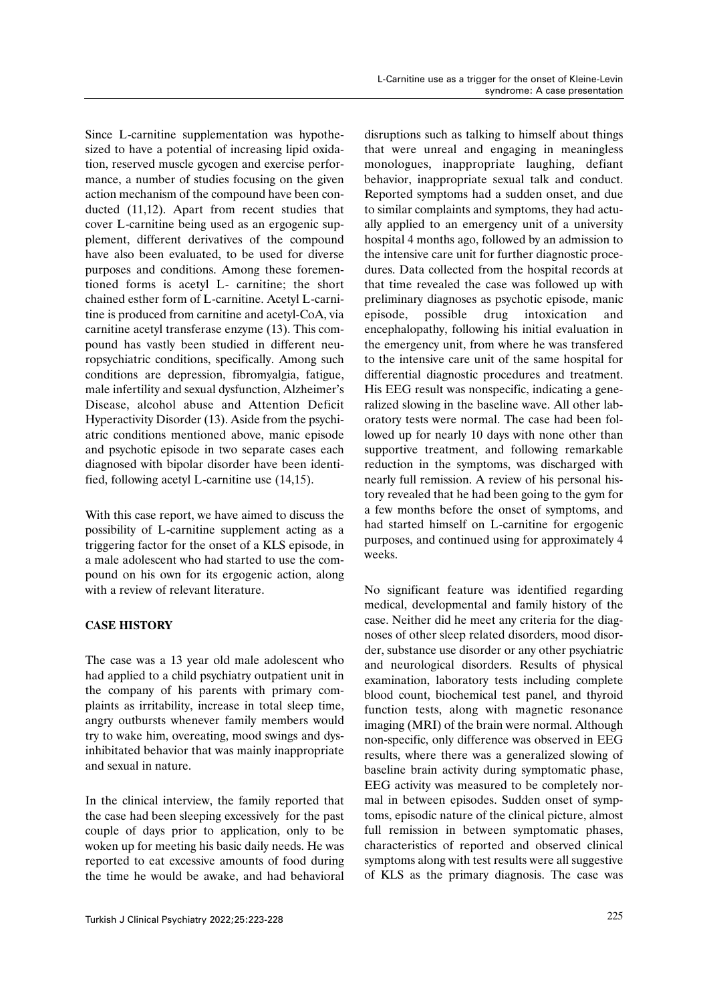Since L-carnitine supplementation was hypothesized to have a potential of increasing lipid oxidation, reserved muscle gycogen and exercise performance, a number of studies focusing on the given action mechanism of the compound have been conducted (11,12). Apart from recent studies that cover L-carnitine being used as an ergogenic supplement, different derivatives of the compound have also been evaluated, to be used for diverse purposes and conditions. Among these forementioned forms is acetyl L- carnitine; the short chained esther form of L-carnitine. Acetyl L-carnitine is produced from carnitine and acetyl-CoA, via carnitine acetyl transferase enzyme (13). This compound has vastly been studied in different neuropsychiatric conditions, specifically. Among such conditions are depression, fibromyalgia, fatigue, male infertility and sexual dysfunction, Alzheimer's Disease, alcohol abuse and Attention Deficit Hyperactivity Disorder (13). Aside from the psychiatric conditions mentioned above, manic episode and psychotic episode in two separate cases each diagnosed with bipolar disorder have been identified, following acetyl L-carnitine use (14,15).

With this case report, we have aimed to discuss the possibility of L-carnitine supplement acting as a triggering factor for the onset of a KLS episode, in a male adolescent who had started to use the compound on his own for its ergogenic action, along with a review of relevant literature.

# **CASE HISTORY**

The case was a 13 year old male adolescent who had applied to a child psychiatry outpatient unit in the company of his parents with primary complaints as irritability, increase in total sleep time, angry outbursts whenever family members would try to wake him, overeating, mood swings and dysinhibitated behavior that was mainly inappropriate and sexual in nature.

In the clinical interview, the family reported that the case had been sleeping excessively for the past couple of days prior to application, only to be woken up for meeting his basic daily needs. He was reported to eat excessive amounts of food during the time he would be awake, and had behavioral

disruptions such as talking to himself about things that were unreal and engaging in meaningless monologues, inappropriate laughing, defiant behavior, inappropriate sexual talk and conduct. Reported symptoms had a sudden onset, and due to similar complaints and symptoms, they had actually applied to an emergency unit of a university hospital 4 months ago, followed by an admission to the intensive care unit for further diagnostic procedures. Data collected from the hospital records at that time revealed the case was followed up with preliminary diagnoses as psychotic episode, manic episode, possible drug intoxication and encephalopathy, following his initial evaluation in the emergency unit, from where he was transfered to the intensive care unit of the same hospital for differential diagnostic procedures and treatment. His EEG result was nonspecific, indicating a generalized slowing in the baseline wave. All other laboratory tests were normal. The case had been followed up for nearly 10 days with none other than supportive treatment, and following remarkable reduction in the symptoms, was discharged with nearly full remission. A review of his personal history revealed that he had been going to the gym for a few months before the onset of symptoms, and had started himself on L-carnitine for ergogenic purposes, and continued using for approximately 4 weeks.

No significant feature was identified regarding medical, developmental and family history of the case. Neither did he meet any criteria for the diagnoses of other sleep related disorders, mood disorder, substance use disorder or any other psychiatric and neurological disorders. Results of physical examination, laboratory tests including complete blood count, biochemical test panel, and thyroid function tests, along with magnetic resonance imaging (MRI) of the brain were normal. Although non-specific, only difference was observed in EEG results, where there was a generalized slowing of baseline brain activity during symptomatic phase, EEG activity was measured to be completely normal in between episodes. Sudden onset of symptoms, episodic nature of the clinical picture, almost full remission in between symptomatic phases, characteristics of reported and observed clinical symptoms along with test results were all suggestive of KLS as the primary diagnosis. The case was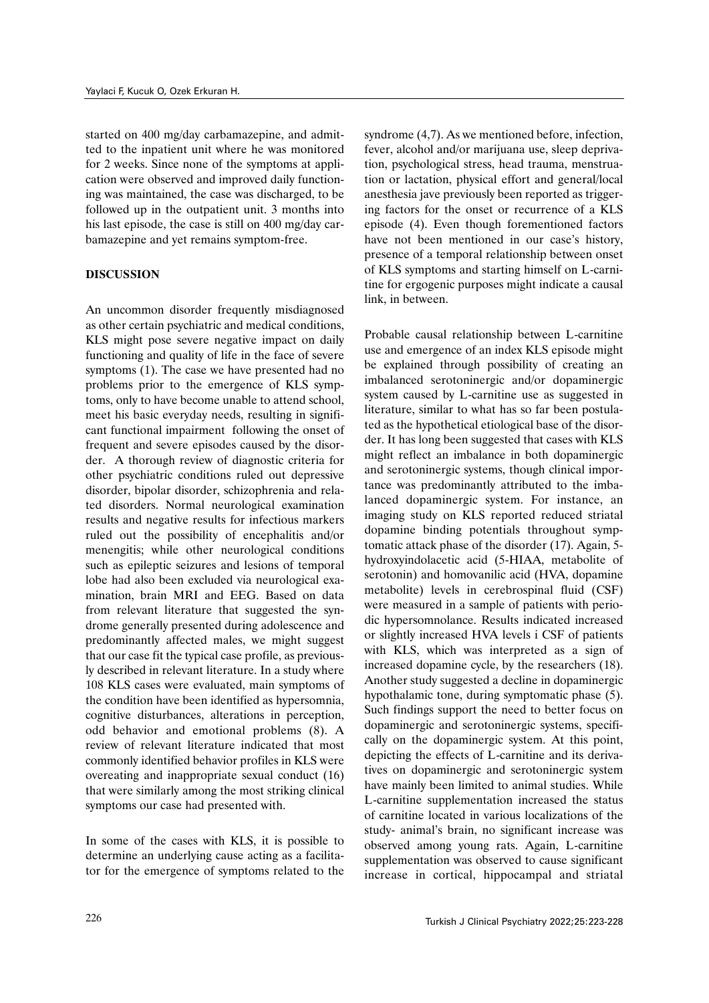started on 400 mg/day carbamazepine, and admitted to the inpatient unit where he was monitored for 2 weeks. Since none of the symptoms at application were observed and improved daily functioning was maintained, the case was discharged, to be followed up in the outpatient unit. 3 months into his last episode, the case is still on 400 mg/day carbamazepine and yet remains symptom-free.

## **DISCUSSION**

An uncommon disorder frequently misdiagnosed as other certain psychiatric and medical conditions, KLS might pose severe negative impact on daily functioning and quality of life in the face of severe symptoms (1). The case we have presented had no problems prior to the emergence of KLS symptoms, only to have become unable to attend school, meet his basic everyday needs, resulting in significant functional impairment following the onset of frequent and severe episodes caused by the disorder. A thorough review of diagnostic criteria for other psychiatric conditions ruled out depressive disorder, bipolar disorder, schizophrenia and related disorders. Normal neurological examination results and negative results for infectious markers ruled out the possibility of encephalitis and/or menengitis; while other neurological conditions such as epileptic seizures and lesions of temporal lobe had also been excluded via neurological examination, brain MRI and EEG. Based on data from relevant literature that suggested the syndrome generally presented during adolescence and predominantly affected males, we might suggest that our case fit the typical case profile, as previously described in relevant literature. In a study where 108 KLS cases were evaluated, main symptoms of the condition have been identified as hypersomnia, cognitive disturbances, alterations in perception, odd behavior and emotional problems (8). A review of relevant literature indicated that most commonly identified behavior profiles in KLS were overeating and inappropriate sexual conduct (16) that were similarly among the most striking clinical symptoms our case had presented with.

In some of the cases with KLS, it is possible to determine an underlying cause acting as a facilitator for the emergence of symptoms related to the syndrome (4,7). As we mentioned before, infection, fever, alcohol and/or marijuana use, sleep deprivation, psychological stress, head trauma, menstruation or lactation, physical effort and general/local anesthesia jave previously been reported as triggering factors for the onset or recurrence of a KLS episode (4). Even though forementioned factors have not been mentioned in our case's history, presence of a temporal relationship between onset of KLS symptoms and starting himself on L-carnitine for ergogenic purposes might indicate a causal link, in between.

Probable causal relationship between L-carnitine use and emergence of an index KLS episode might be explained through possibility of creating an imbalanced serotoninergic and/or dopaminergic system caused by L-carnitine use as suggested in literature, similar to what has so far been postulated as the hypothetical etiological base of the disorder. It has long been suggested that cases with KLS might reflect an imbalance in both dopaminergic and serotoninergic systems, though clinical importance was predominantly attributed to the imbalanced dopaminergic system. For instance, an imaging study on KLS reported reduced striatal dopamine binding potentials throughout symptomatic attack phase of the disorder (17). Again, 5 hydroxyindolacetic acid (5-HIAA, metabolite of serotonin) and homovanilic acid (HVA, dopamine metabolite) levels in cerebrospinal fluid (CSF) were measured in a sample of patients with periodic hypersomnolance. Results indicated increased or slightly increased HVA levels i CSF of patients with KLS, which was interpreted as a sign of increased dopamine cycle, by the researchers (18). Another study suggested a decline in dopaminergic hypothalamic tone, during symptomatic phase (5). Such findings support the need to better focus on dopaminergic and serotoninergic systems, specifically on the dopaminergic system. At this point, depicting the effects of L-carnitine and its derivatives on dopaminergic and serotoninergic system have mainly been limited to animal studies. While L-carnitine supplementation increased the status of carnitine located in various localizations of the study- animal's brain, no significant increase was observed among young rats. Again, L-carnitine supplementation was observed to cause significant increase in cortical, hippocampal and striatal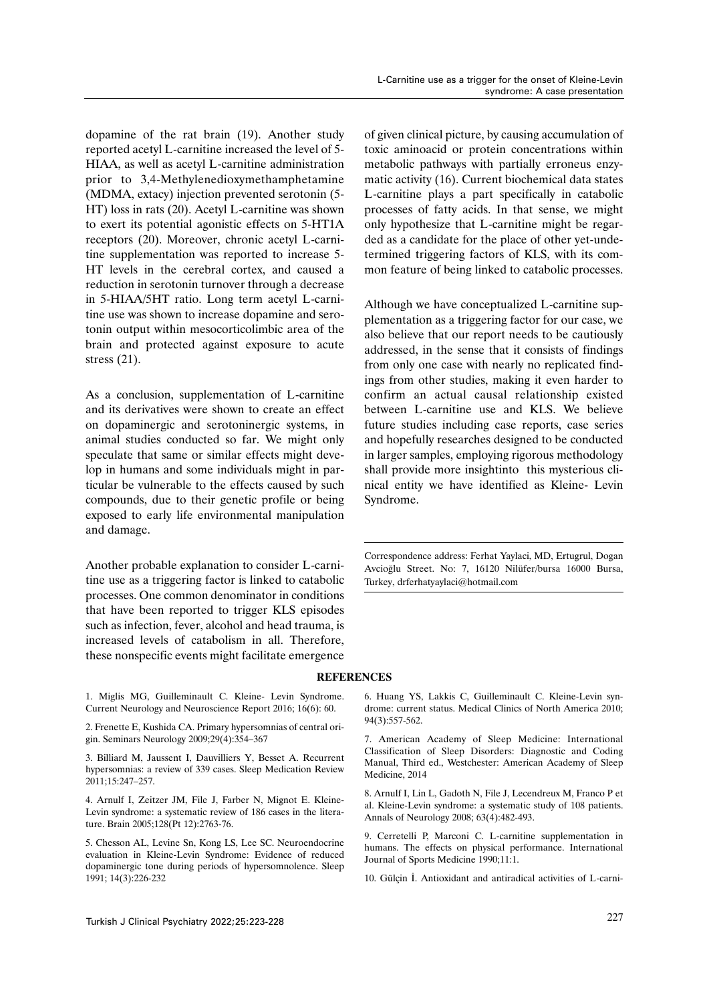dopamine of the rat brain (19). Another study reported acetyl L-carnitine increased the level of 5- HIAA, as well as acetyl L-carnitine administration prior to 3,4-Methylenedioxymethamphetamine (MDMA, extacy) injection prevented serotonin (5- HT) loss in rats (20). Acetyl L-carnitine was shown to exert its potential agonistic effects on 5-HT1A receptors (20). Moreover, chronic acetyl L-carnitine supplementation was reported to increase 5- HT levels in the cerebral cortex, and caused a reduction in serotonin turnover through a decrease in 5-HIAA/5HT ratio. Long term acetyl L-carnitine use was shown to increase dopamine and serotonin output within mesocorticolimbic area of the brain and protected against exposure to acute stress (21).

As a conclusion, supplementation of L-carnitine and its derivatives were shown to create an effect on dopaminergic and serotoninergic systems, in animal studies conducted so far. We might only speculate that same or similar effects might develop in humans and some individuals might in particular be vulnerable to the effects caused by such compounds, due to their genetic profile or being exposed to early life environmental manipulation and damage.

Another probable explanation to consider L-carnitine use as a triggering factor is linked to catabolic processes. One common denominator in conditions that have been reported to trigger KLS episodes such as infection, fever, alcohol and head trauma, is increased levels of catabolism in all. Therefore, these nonspecific events might facilitate emergence

of given clinical picture, by causing accumulation of toxic aminoacid or protein concentrations within metabolic pathways with partially erroneus enzymatic activity (16). Current biochemical data states L-carnitine plays a part specifically in catabolic processes of fatty acids. In that sense, we might only hypothesize that L-carnitine might be regarded as a candidate for the place of other yet-undetermined triggering factors of KLS, with its common feature of being linked to catabolic processes.

Although we have conceptualized L-carnitine supplementation as a triggering factor for our case, we also believe that our report needs to be cautiously addressed, in the sense that it consists of findings from only one case with nearly no replicated findings from other studies, making it even harder to confirm an actual causal relationship existed between L-carnitine use and KLS. We believe future studies including case reports, case series and hopefully researches designed to be conducted in larger samples, employing rigorous methodology shall provide more insightinto this mysterious clinical entity we have identified as Kleine- Levin Syndrome.

Correspondence address: Ferhat Yaylaci, MD, Ertugrul, Dogan Avcioğlu Street. No: 7, 16120 Nilüfer/bursa 16000 Bursa, Turkey, drferhatyaylaci@hotmail.com

#### **REFERENCES**

1. Miglis MG, Guilleminault C. Kleine- Levin Syndrome. Current Neurology and Neuroscience Report 2016; 16(6): 60.

2. Frenette E, Kushida CA. Primary hypersomnias of central origin. Seminars Neurology 2009;29(4):354–367

3. Billiard M, Jaussent I, Dauvilliers Y, Besset A. Recurrent hypersomnias: a review of 339 cases. Sleep Medication Review 2011;15:247–257.

4. Arnulf I, Zeitzer JM, File J, Farber N, Mignot E. Kleine-Levin syndrome: a systematic review of 186 cases in the literature. Brain 2005;128(Pt 12):2763-76.

5. Chesson AL, Levine Sn, Kong LS, Lee SC. Neuroendocrine evaluation in Kleine-Levin Syndrome: Evidence of reduced dopaminergic tone during periods of hypersomnolence. Sleep 1991; 14(3):226-232

6. Huang YS, Lakkis C, Guilleminault C. Kleine-Levin syndrome: current status. Medical Clinics of North America 2010; 94(3):557-562.

7. American Academy of Sleep Medicine: International Classification of Sleep Disorders: Diagnostic and Coding Manual, Third ed., Westchester: American Academy of Sleep Medicine, 2014

8. Arnulf I, Lin L, Gadoth N, File J, Lecendreux M, Franco P et al. Kleine-Levin syndrome: a systematic study of 108 patients. Annals of Neurology 2008; 63(4):482-493.

9. Cerretelli P, Marconi C. L-carnitine supplementation in humans. The effects on physical performance. International Journal of Sports Medicine 1990;11:1.

10. Gülçin İ. Antioxidant and antiradical activities of L-carni-